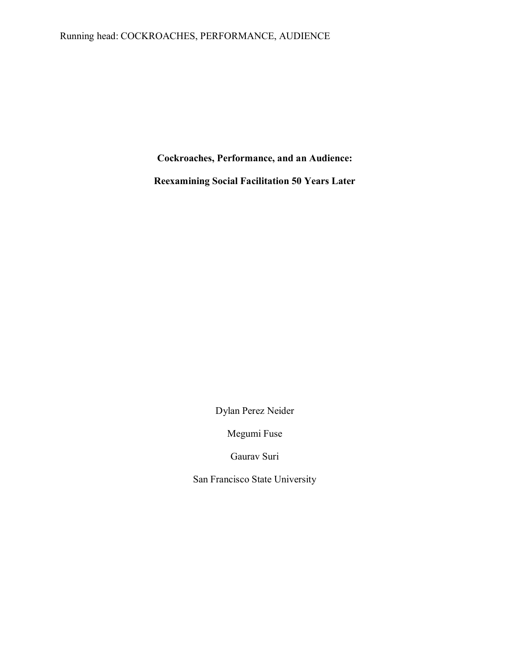## Running head: COCKROACHES, PERFORMANCE, AUDIENCE

**Cockroaches, Performance, and an Audience:** 

**Reexamining Social Facilitation 50 Years Later**

Dylan Perez Neider

Megumi Fuse

Gaurav Suri

San Francisco State University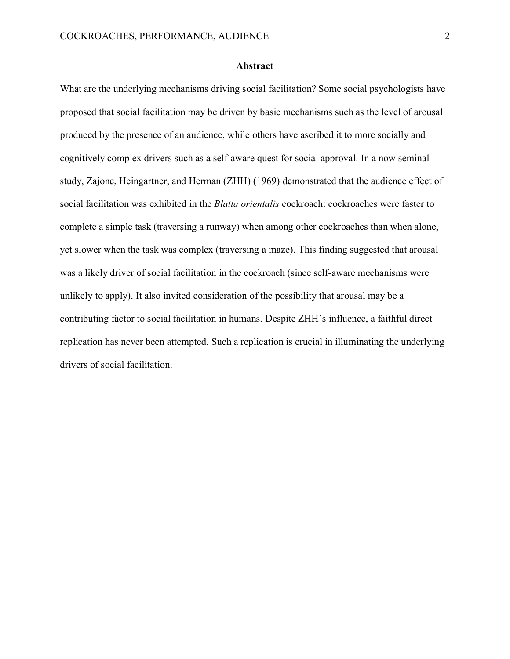#### **Abstract**

What are the underlying mechanisms driving social facilitation? Some social psychologists have proposed that social facilitation may be driven by basic mechanisms such as the level of arousal produced by the presence of an audience, while others have ascribed it to more socially and cognitively complex drivers such as a self-aware quest for social approval. In a now seminal study, Zajonc, Heingartner, and Herman (ZHH) (1969) demonstrated that the audience effect of social facilitation was exhibited in the *Blatta orientalis* cockroach: cockroaches were faster to complete a simple task (traversing a runway) when among other cockroaches than when alone, yet slower when the task was complex (traversing a maze). This finding suggested that arousal was a likely driver of social facilitation in the cockroach (since self-aware mechanisms were unlikely to apply). It also invited consideration of the possibility that arousal may be a contributing factor to social facilitation in humans. Despite ZHH's influence, a faithful direct replication has never been attempted. Such a replication is crucial in illuminating the underlying drivers of social facilitation.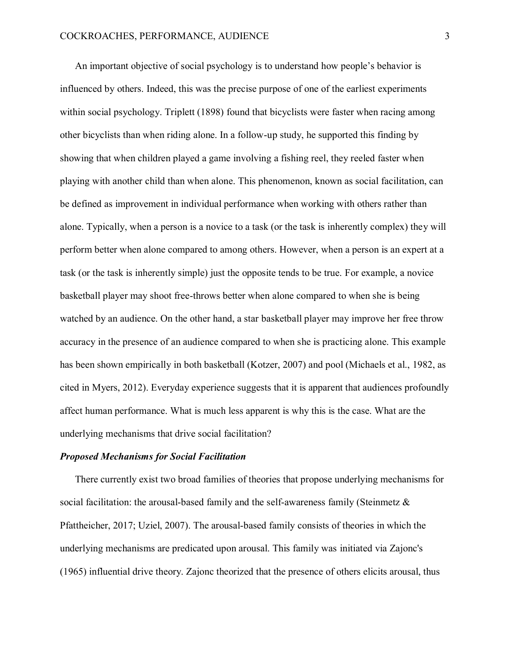An important objective of social psychology is to understand how people's behavior is influenced by others. Indeed, this was the precise purpose of one of the earliest experiments within social psychology. Triplett (1898) found that bicyclists were faster when racing among other bicyclists than when riding alone. In a follow-up study, he supported this finding by showing that when children played a game involving a fishing reel, they reeled faster when playing with another child than when alone. This phenomenon, known as social facilitation, can be defined as improvement in individual performance when working with others rather than alone. Typically, when a person is a novice to a task (or the task is inherently complex) they will perform better when alone compared to among others. However, when a person is an expert at a task (or the task is inherently simple) just the opposite tends to be true. For example, a novice basketball player may shoot free-throws better when alone compared to when she is being watched by an audience. On the other hand, a star basketball player may improve her free throw accuracy in the presence of an audience compared to when she is practicing alone. This example has been shown empirically in both basketball (Kotzer, 2007) and pool (Michaels et al., 1982, as cited in Myers, 2012). Everyday experience suggests that it is apparent that audiences profoundly affect human performance. What is much less apparent is why this is the case. What are the underlying mechanisms that drive social facilitation?

#### *Proposed Mechanisms for Social Facilitation*

There currently exist two broad families of theories that propose underlying mechanisms for social facilitation: the arousal-based family and the self-awareness family (Steinmetz & Pfattheicher, 2017; Uziel, 2007). The arousal-based family consists of theories in which the underlying mechanisms are predicated upon arousal. This family was initiated via Zajonc's (1965) influential drive theory. Zajonc theorized that the presence of others elicits arousal, thus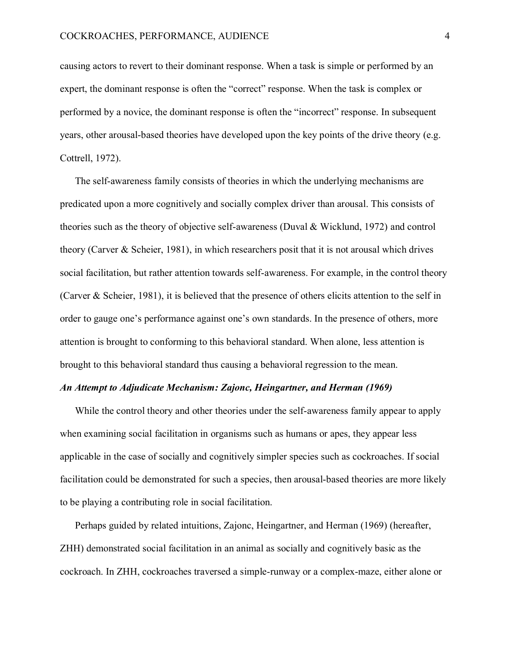causing actors to revert to their dominant response. When a task is simple or performed by an expert, the dominant response is often the "correct" response. When the task is complex or performed by a novice, the dominant response is often the "incorrect" response. In subsequent years, other arousal-based theories have developed upon the key points of the drive theory (e.g. Cottrell, 1972).

The self-awareness family consists of theories in which the underlying mechanisms are predicated upon a more cognitively and socially complex driver than arousal. This consists of theories such as the theory of objective self-awareness (Duval & Wicklund, 1972) and control theory (Carver & Scheier, 1981), in which researchers posit that it is not arousal which drives social facilitation, but rather attention towards self-awareness. For example, in the control theory (Carver & Scheier, 1981), it is believed that the presence of others elicits attention to the self in order to gauge one's performance against one's own standards. In the presence of others, more attention is brought to conforming to this behavioral standard. When alone, less attention is brought to this behavioral standard thus causing a behavioral regression to the mean.

#### *An Attempt to Adjudicate Mechanism: Zajonc, Heingartner, and Herman (1969)*

While the control theory and other theories under the self-awareness family appear to apply when examining social facilitation in organisms such as humans or apes, they appear less applicable in the case of socially and cognitively simpler species such as cockroaches. If social facilitation could be demonstrated for such a species, then arousal-based theories are more likely to be playing a contributing role in social facilitation.

Perhaps guided by related intuitions, Zajonc, Heingartner, and Herman (1969) (hereafter, ZHH) demonstrated social facilitation in an animal as socially and cognitively basic as the cockroach. In ZHH, cockroaches traversed a simple-runway or a complex-maze, either alone or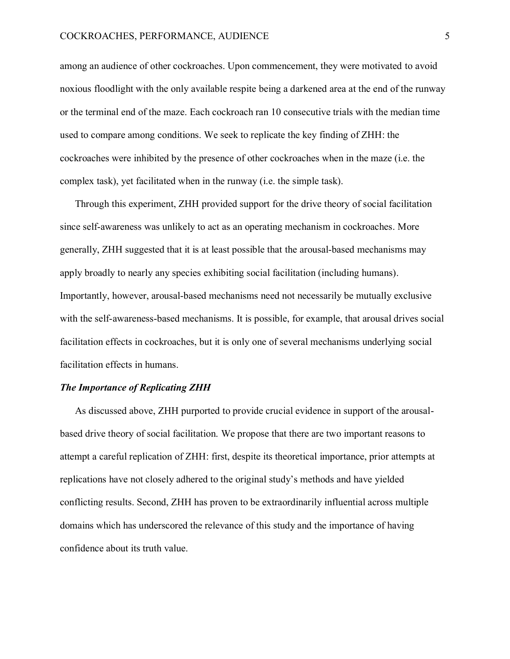among an audience of other cockroaches. Upon commencement, they were motivated to avoid noxious floodlight with the only available respite being a darkened area at the end of the runway or the terminal end of the maze. Each cockroach ran 10 consecutive trials with the median time used to compare among conditions. We seek to replicate the key finding of ZHH: the cockroaches were inhibited by the presence of other cockroaches when in the maze (i.e. the complex task), yet facilitated when in the runway (i.e. the simple task).

Through this experiment, ZHH provided support for the drive theory of social facilitation since self-awareness was unlikely to act as an operating mechanism in cockroaches. More generally, ZHH suggested that it is at least possible that the arousal-based mechanisms may apply broadly to nearly any species exhibiting social facilitation (including humans). Importantly, however, arousal-based mechanisms need not necessarily be mutually exclusive with the self-awareness-based mechanisms. It is possible, for example, that arousal drives social facilitation effects in cockroaches, but it is only one of several mechanisms underlying social facilitation effects in humans.

#### *The Importance of Replicating ZHH*

As discussed above, ZHH purported to provide crucial evidence in support of the arousalbased drive theory of social facilitation. We propose that there are two important reasons to attempt a careful replication of ZHH: first, despite its theoretical importance, prior attempts at replications have not closely adhered to the original study's methods and have yielded conflicting results. Second, ZHH has proven to be extraordinarily influential across multiple domains which has underscored the relevance of this study and the importance of having confidence about its truth value.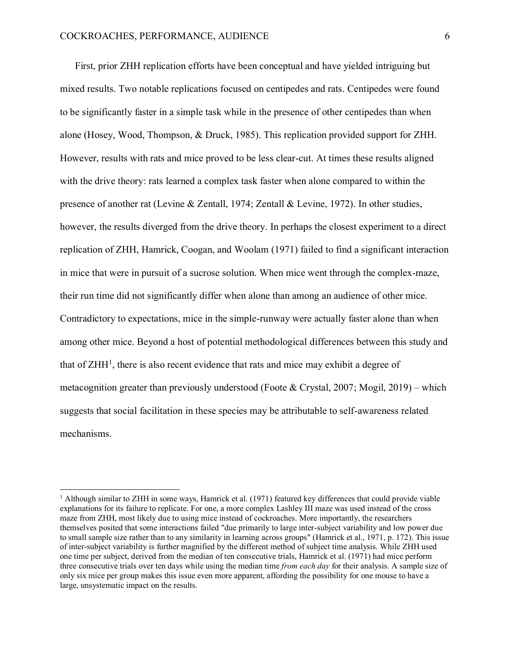First, prior ZHH replication efforts have been conceptual and have yielded intriguing but mixed results. Two notable replications focused on centipedes and rats. Centipedes were found to be significantly faster in a simple task while in the presence of other centipedes than when alone (Hosey, Wood, Thompson, & Druck, 1985). This replication provided support for ZHH. However, results with rats and mice proved to be less clear-cut. At times these results aligned with the drive theory: rats learned a complex task faster when alone compared to within the presence of another rat (Levine & Zentall, 1974; Zentall & Levine, 1972). In other studies, however, the results diverged from the drive theory. In perhaps the closest experiment to a direct replication of ZHH, Hamrick, Coogan, and Woolam (1971) failed to find a significant interaction in mice that were in pursuit of a sucrose solution. When mice went through the complex-maze, their run time did not significantly differ when alone than among an audience of other mice. Contradictory to expectations, mice in the simple-runway were actually faster alone than when among other mice. Beyond a host of potential methodological differences between this study and that of ZHH<sup>1</sup>, there is also recent evidence that rats and mice may exhibit a degree of metacognition greater than previously understood (Foote  $& Crystal, 2007$ ; Mogil, 2019) – which suggests that social facilitation in these species may be attributable to self-awareness related mechanisms.

 $1$  Although similar to ZHH in some ways, Hamrick et al. (1971) featured key differences that could provide viable explanations for its failure to replicate. For one, a more complex Lashley III maze was used instead of the cross maze from ZHH, most likely due to using mice instead of cockroaches. More importantly, the researchers themselves posited that some interactions failed "due primarily to large inter-subject variability and low power due to small sample size rather than to any similarity in learning across groups" (Hamrick et al., 1971, p. 172). This issue of inter-subject variability is further magnified by the different method of subject time analysis. While ZHH used one time per subject, derived from the median of ten consecutive trials, Hamrick et al. (1971) had mice perform three consecutive trials over ten days while using the median time *from each day* for their analysis. A sample size of only six mice per group makes this issue even more apparent, affording the possibility for one mouse to have a large, unsystematic impact on the results.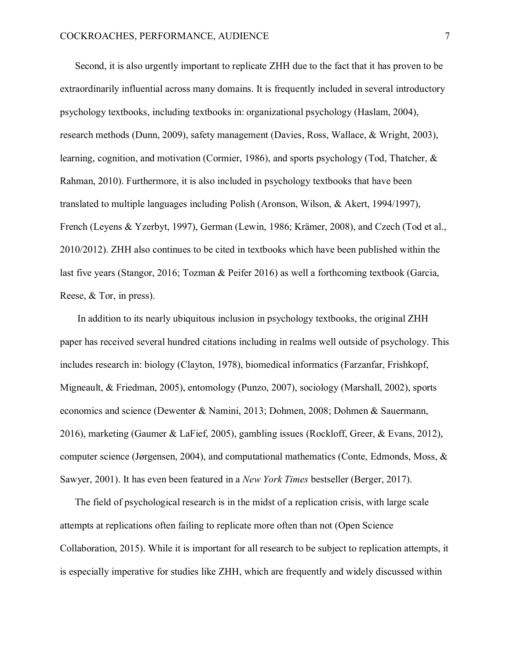Second, it is also urgently important to replicate ZHH due to the fact that it has proven to be extraordinarily influential across many domains. It is frequently included in several introductory psychology textbooks, including textbooks in: organizational psychology (Haslam, 2004), research methods (Dunn, 2009), safety management (Davies, Ross, Wallace, & Wright, 2003), learning, cognition, and motivation (Cormier, 1986), and sports psychology (Tod, Thatcher, & Rahman, 2010). Furthermore, it is also included in psychology textbooks that have been translated to multiple languages including Polish (Aronson, Wilson, & Akert, 1994/1997), French (Leyens & Yzerbyt, 1997), German (Lewin, 1986; Krämer, 2008), and Czech (Tod et al., 2010/2012). ZHH also continues to be cited in textbooks which have been published within the last five years (Stangor, 2016; Tozman & Peifer 2016) as well a forthcoming textbook (Garcia, Reese, & Tor, in press).

In addition to its nearly ubiquitous inclusion in psychology textbooks, the original ZHH paper has received several hundred citations including in realms well outside of psychology. This includes research in: biology (Clayton, 1978), biomedical informatics (Farzanfar, Frishkopf, Migneault, & Friedman, 2005), entomology (Punzo, 2007), sociology (Marshall, 2002), sports economics and science (Dewenter & Namini, 2013; Dohmen, 2008; Dohmen & Sauermann, 2016), marketing (Gaumer & LaFief, 2005), gambling issues (Rockloff, Greer, & Evans, 2012), computer science (Jørgensen, 2004), and computational mathematics (Conte, Edmonds, Moss, & Sawyer, 2001). It has even been featured in a *New York Times* bestseller (Berger, 2017).

The field of psychological research is in the midst of a replication crisis, with large scale attempts at replications often failing to replicate more often than not (Open Science Collaboration, 2015). While it is important for all research to be subject to replication attempts, it is especially imperative for studies like ZHH, which are frequently and widely discussed within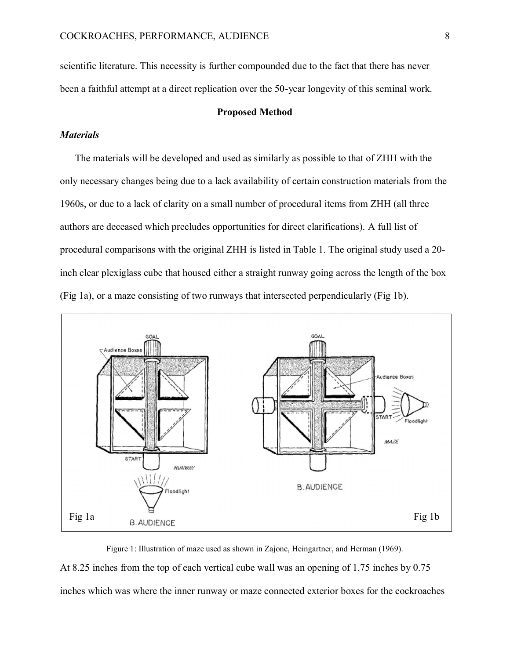scientific literature. This necessity is further compounded due to the fact that there has never been a faithful attempt at a direct replication over the 50-year longevity of this seminal work.

#### **Proposed Method**

### *Materials*

The materials will be developed and used as similarly as possible to that of ZHH with the only necessary changes being due to a lack availability of certain construction materials from the 1960s, or due to a lack of clarity on a small number of procedural items from ZHH (all three authors are deceased which precludes opportunities for direct clarifications). A full list of procedural comparisons with the original ZHH is listed in Table 1. The original study used a 20 inch clear plexiglass cube that housed either a straight runway going across the length of the box (Fig 1a), or a maze consisting of two runways that intersected perpendicularly (Fig 1b).



Figure 1: Illustration of maze used as shown in Zajonc, Heingartner, and Herman (1969). At 8.25 inches from the top of each vertical cube wall was an opening of 1.75 inches by 0.75 inches which was where the inner runway or maze connected exterior boxes for the cockroaches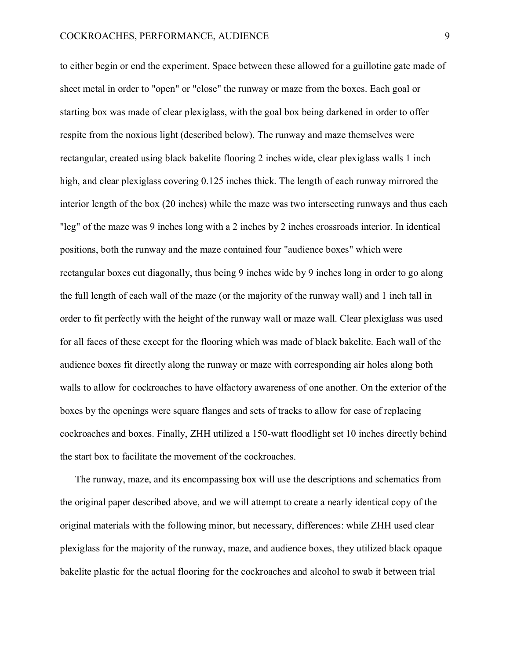to either begin or end the experiment. Space between these allowed for a guillotine gate made of sheet metal in order to "open" or "close" the runway or maze from the boxes. Each goal or starting box was made of clear plexiglass, with the goal box being darkened in order to offer respite from the noxious light (described below). The runway and maze themselves were rectangular, created using black bakelite flooring 2 inches wide, clear plexiglass walls 1 inch high, and clear plexiglass covering  $0.125$  inches thick. The length of each runway mirrored the interior length of the box (20 inches) while the maze was two intersecting runways and thus each "leg" of the maze was 9 inches long with a 2 inches by 2 inches crossroads interior. In identical positions, both the runway and the maze contained four "audience boxes" which were rectangular boxes cut diagonally, thus being 9 inches wide by 9 inches long in order to go along the full length of each wall of the maze (or the majority of the runway wall) and 1 inch tall in order to fit perfectly with the height of the runway wall or maze wall. Clear plexiglass was used for all faces of these except for the flooring which was made of black bakelite. Each wall of the audience boxes fit directly along the runway or maze with corresponding air holes along both walls to allow for cockroaches to have olfactory awareness of one another. On the exterior of the boxes by the openings were square flanges and sets of tracks to allow for ease of replacing cockroaches and boxes. Finally, ZHH utilized a 150-watt floodlight set 10 inches directly behind the start box to facilitate the movement of the cockroaches.

The runway, maze, and its encompassing box will use the descriptions and schematics from the original paper described above, and we will attempt to create a nearly identical copy of the original materials with the following minor, but necessary, differences: while ZHH used clear plexiglass for the majority of the runway, maze, and audience boxes, they utilized black opaque bakelite plastic for the actual flooring for the cockroaches and alcohol to swab it between trial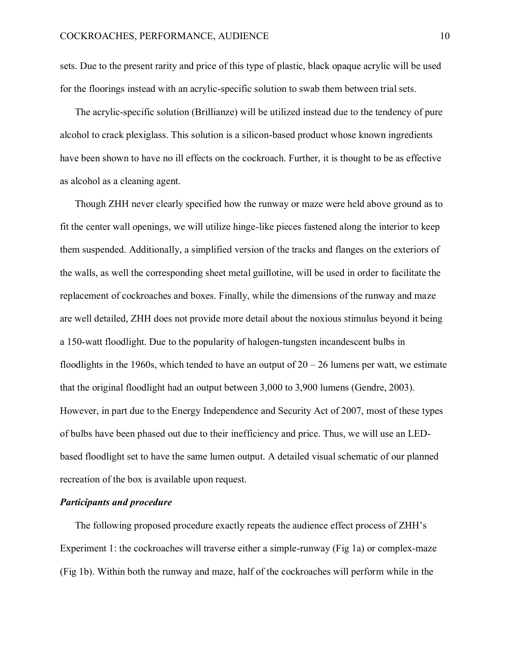sets. Due to the present rarity and price of this type of plastic, black opaque acrylic will be used for the floorings instead with an acrylic-specific solution to swab them between trial sets.

The acrylic-specific solution (Brillianze) will be utilized instead due to the tendency of pure alcohol to crack plexiglass. This solution is a silicon-based product whose known ingredients have been shown to have no ill effects on the cockroach. Further, it is thought to be as effective as alcohol as a cleaning agent.

Though ZHH never clearly specified how the runway or maze were held above ground as to fit the center wall openings, we will utilize hinge-like pieces fastened along the interior to keep them suspended. Additionally, a simplified version of the tracks and flanges on the exteriors of the walls, as well the corresponding sheet metal guillotine, will be used in order to facilitate the replacement of cockroaches and boxes. Finally, while the dimensions of the runway and maze are well detailed, ZHH does not provide more detail about the noxious stimulus beyond it being a 150-watt floodlight. Due to the popularity of halogen-tungsten incandescent bulbs in floodlights in the 1960s, which tended to have an output of  $20 - 26$  lumens per watt, we estimate that the original floodlight had an output between 3,000 to 3,900 lumens (Gendre, 2003). However, in part due to the Energy Independence and Security Act of 2007, most of these types of bulbs have been phased out due to their inefficiency and price. Thus, we will use an LEDbased floodlight set to have the same lumen output. A detailed visual schematic of our planned recreation of the box is available upon request.

#### *Participants and procedure*

The following proposed procedure exactly repeats the audience effect process of ZHH's Experiment 1: the cockroaches will traverse either a simple-runway (Fig 1a) or complex-maze (Fig 1b). Within both the runway and maze, half of the cockroaches will perform while in the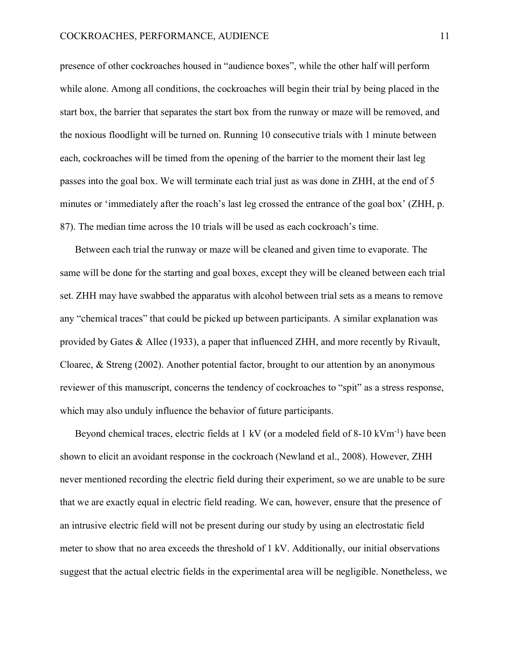presence of other cockroaches housed in "audience boxes", while the other half will perform while alone. Among all conditions, the cockroaches will begin their trial by being placed in the start box, the barrier that separates the start box from the runway or maze will be removed, and the noxious floodlight will be turned on. Running 10 consecutive trials with 1 minute between each, cockroaches will be timed from the opening of the barrier to the moment their last leg passes into the goal box. We will terminate each trial just as was done in ZHH, at the end of 5 minutes or 'immediately after the roach's last leg crossed the entrance of the goal box' (ZHH, p. 87). The median time across the 10 trials will be used as each cockroach's time.

Between each trial the runway or maze will be cleaned and given time to evaporate. The same will be done for the starting and goal boxes, except they will be cleaned between each trial set. ZHH may have swabbed the apparatus with alcohol between trial sets as a means to remove any "chemical traces" that could be picked up between participants. A similar explanation was provided by Gates & Allee (1933), a paper that influenced ZHH, and more recently by Rivault, Cloarec, & Streng (2002). Another potential factor, brought to our attention by an anonymous reviewer of this manuscript, concerns the tendency of cockroaches to "spit" as a stress response, which may also unduly influence the behavior of future participants.

Beyond chemical traces, electric fields at 1 kV (or a modeled field of 8-10 kVm<sup>-1</sup>) have been shown to elicit an avoidant response in the cockroach (Newland et al., 2008). However, ZHH never mentioned recording the electric field during their experiment, so we are unable to be sure that we are exactly equal in electric field reading. We can, however, ensure that the presence of an intrusive electric field will not be present during our study by using an electrostatic field meter to show that no area exceeds the threshold of 1 kV. Additionally, our initial observations suggest that the actual electric fields in the experimental area will be negligible. Nonetheless, we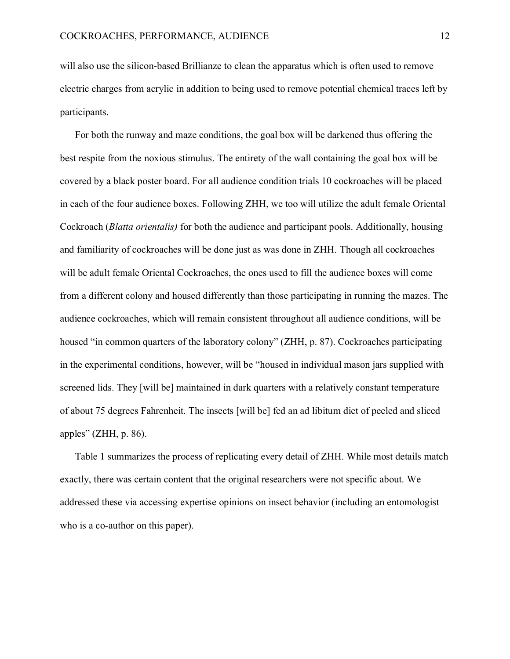will also use the silicon-based Brillianze to clean the apparatus which is often used to remove electric charges from acrylic in addition to being used to remove potential chemical traces left by participants.

For both the runway and maze conditions, the goal box will be darkened thus offering the best respite from the noxious stimulus. The entirety of the wall containing the goal box will be covered by a black poster board. For all audience condition trials 10 cockroaches will be placed in each of the four audience boxes. Following ZHH, we too will utilize the adult female Oriental Cockroach (*Blatta orientalis)* for both the audience and participant pools. Additionally, housing and familiarity of cockroaches will be done just as was done in ZHH. Though all cockroaches will be adult female Oriental Cockroaches, the ones used to fill the audience boxes will come from a different colony and housed differently than those participating in running the mazes. The audience cockroaches, which will remain consistent throughout all audience conditions, will be housed "in common quarters of the laboratory colony" (ZHH, p. 87). Cockroaches participating in the experimental conditions, however, will be "housed in individual mason jars supplied with screened lids. They [will be] maintained in dark quarters with a relatively constant temperature of about 75 degrees Fahrenheit. The insects [will be] fed an ad libitum diet of peeled and sliced apples" (ZHH, p. 86).

Table 1 summarizes the process of replicating every detail of ZHH. While most details match exactly, there was certain content that the original researchers were not specific about. We addressed these via accessing expertise opinions on insect behavior (including an entomologist who is a co-author on this paper).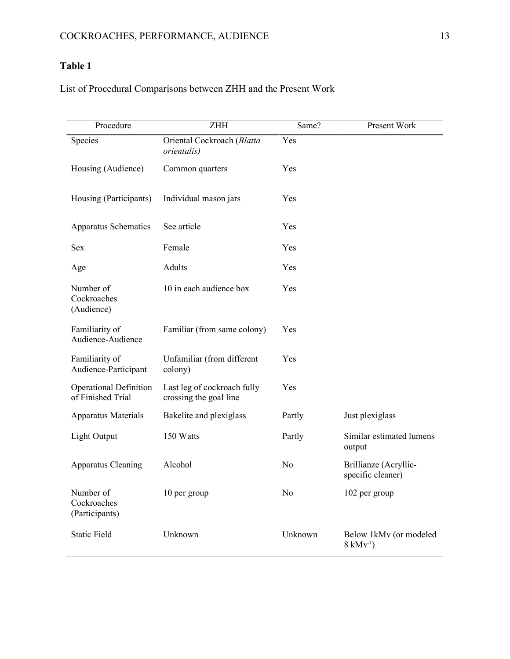# **Table 1**

# List of Procedural Comparisons between ZHH and the Present Work

| Procedure                                          | <b>ZHH</b>                                            | Same?          | Present Work                                           |
|----------------------------------------------------|-------------------------------------------------------|----------------|--------------------------------------------------------|
| Species                                            | Oriental Cockroach (Blatta<br>orientalis)             | Yes            |                                                        |
| Housing (Audience)                                 | Common quarters                                       | Yes            |                                                        |
| Housing (Participants)                             | Individual mason jars                                 | Yes            |                                                        |
| Apparatus Schematics                               | See article                                           | Yes            |                                                        |
| <b>Sex</b>                                         | Female                                                | Yes            |                                                        |
| Age                                                | Adults                                                | Yes            |                                                        |
| Number of<br>Cockroaches<br>(Audience)             | 10 in each audience box                               | Yes            |                                                        |
| Familiarity of<br>Audience-Audience                | Familiar (from same colony)                           | Yes            |                                                        |
| Familiarity of<br>Audience-Participant             | Unfamiliar (from different<br>colony)                 | Yes            |                                                        |
| <b>Operational Definition</b><br>of Finished Trial | Last leg of cockroach fully<br>crossing the goal line | Yes            |                                                        |
| Apparatus Materials                                | Bakelite and plexiglass                               | Partly         | Just plexiglass                                        |
| Light Output                                       | 150 Watts                                             | Partly         | Similar estimated lumens<br>output                     |
| Apparatus Cleaning                                 | Alcohol                                               | No             | Brillianze (Acryllic-<br>specific cleaner)             |
| Number of<br>Cockroaches<br>(Participants)         | 10 per group                                          | N <sub>0</sub> | 102 per group                                          |
| <b>Static Field</b>                                | Unknown                                               | Unknown        | Below 1kMv (or modeled<br>$8 \text{ kM} \text{v}^{-1}$ |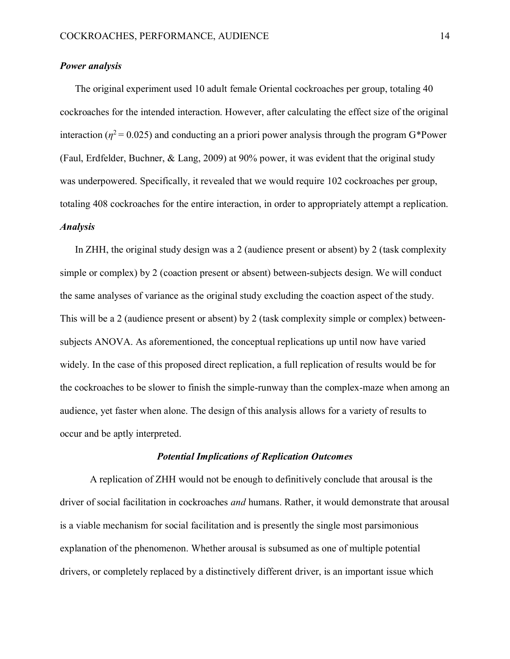### *Power analysis*

The original experiment used 10 adult female Oriental cockroaches per group, totaling 40 cockroaches for the intended interaction. However, after calculating the effect size of the original interaction ( $\eta^2$  = 0.025) and conducting an a priori power analysis through the program G\*Power (Faul, Erdfelder, Buchner, & Lang, 2009) at 90% power, it was evident that the original study was underpowered. Specifically, it revealed that we would require 102 cockroaches per group, totaling 408 cockroaches for the entire interaction, in order to appropriately attempt a replication. *Analysis*

In ZHH, the original study design was a 2 (audience present or absent) by 2 (task complexity simple or complex) by 2 (coaction present or absent) between-subjects design. We will conduct the same analyses of variance as the original study excluding the coaction aspect of the study. This will be a 2 (audience present or absent) by 2 (task complexity simple or complex) betweensubjects ANOVA. As aforementioned, the conceptual replications up until now have varied widely. In the case of this proposed direct replication, a full replication of results would be for the cockroaches to be slower to finish the simple-runway than the complex-maze when among an audience, yet faster when alone. The design of this analysis allows for a variety of results to occur and be aptly interpreted.

#### *Potential Implications of Replication Outcomes*

A replication of ZHH would not be enough to definitively conclude that arousal is the driver of social facilitation in cockroaches *and* humans. Rather, it would demonstrate that arousal is a viable mechanism for social facilitation and is presently the single most parsimonious explanation of the phenomenon. Whether arousal is subsumed as one of multiple potential drivers, or completely replaced by a distinctively different driver, is an important issue which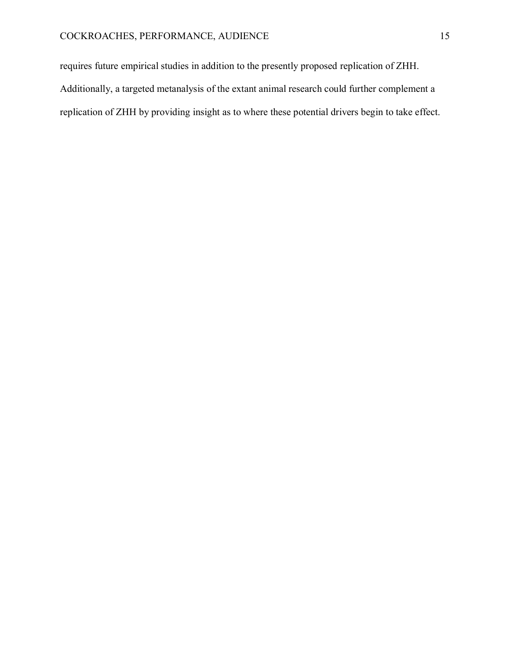requires future empirical studies in addition to the presently proposed replication of ZHH. Additionally, a targeted metanalysis of the extant animal research could further complement a replication of ZHH by providing insight as to where these potential drivers begin to take effect.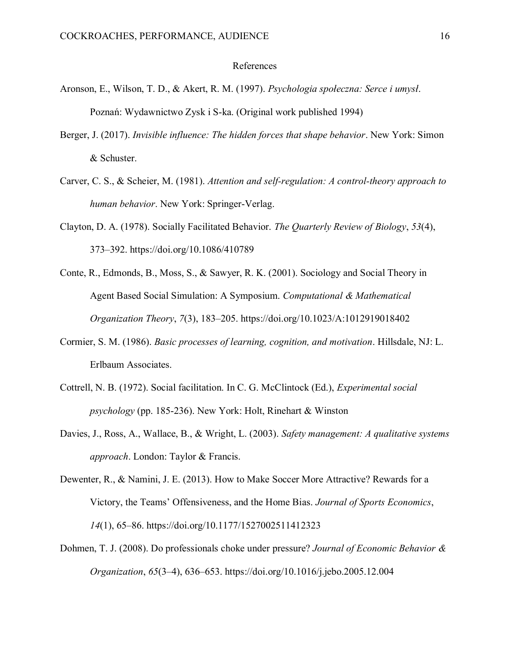#### References

- Aronson, E., Wilson, T. D., & Akert, R. M. (1997). *Psychologia społeczna: Serce i umysł*. Poznan: Wydawnictwo Zysk i S-ka. (Original work published 1994)
- Berger, J. (2017). *Invisible influence: The hidden forces that shape behavior*. New York: Simon & Schuster.
- Carver, C. S., & Scheier, M. (1981). *Attention and self-regulation: A control-theory approach to human behavior*. New York: Springer-Verlag.
- Clayton, D. A. (1978). Socially Facilitated Behavior. *The Quarterly Review of Biology*, *53*(4), 373–392. https://doi.org/10.1086/410789
- Conte, R., Edmonds, B., Moss, S., & Sawyer, R. K. (2001). Sociology and Social Theory in Agent Based Social Simulation: A Symposium. *Computational & Mathematical Organization Theory*, *7*(3), 183–205. https://doi.org/10.1023/A:1012919018402
- Cormier, S. M. (1986). *Basic processes of learning, cognition, and motivation*. Hillsdale, NJ: L. Erlbaum Associates.
- Cottrell, N. B. (1972). Social facilitation. In C. G. McClintock (Ed.), *Experimental social psychology* (pp. 185-236). New York: Holt, Rinehart & Winston
- Davies, J., Ross, A., Wallace, B., & Wright, L. (2003). *Safety management: A qualitative systems approach*. London: Taylor & Francis.
- Dewenter, R., & Namini, J. E. (2013). How to Make Soccer More Attractive? Rewards for a Victory, the Teams' Offensiveness, and the Home Bias. *Journal of Sports Economics*, *14*(1), 65–86. https://doi.org/10.1177/1527002511412323
- Dohmen, T. J. (2008). Do professionals choke under pressure? *Journal of Economic Behavior & Organization*, *65*(3–4), 636–653. https://doi.org/10.1016/j.jebo.2005.12.004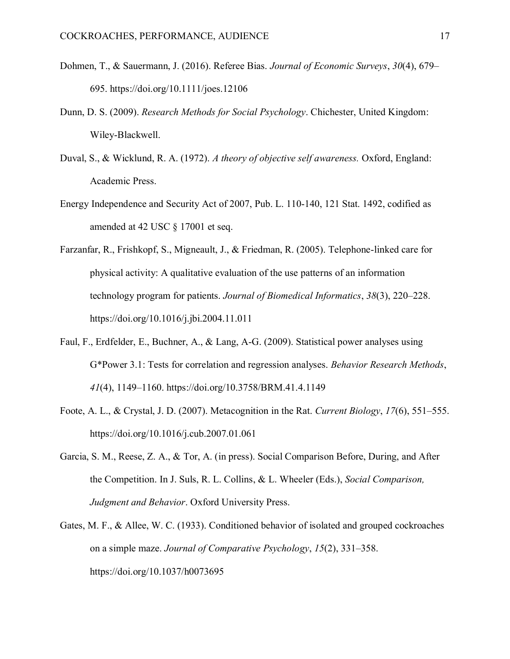- Dohmen, T., & Sauermann, J. (2016). Referee Bias. *Journal of Economic Surveys*, *30*(4), 679– 695. https://doi.org/10.1111/joes.12106
- Dunn, D. S. (2009). *Research Methods for Social Psychology*. Chichester, United Kingdom: Wiley-Blackwell.
- Duval, S., & Wicklund, R. A. (1972). *A theory of objective self awareness.* Oxford, England: Academic Press.
- Energy Independence and Security Act of 2007, Pub. L. 110-140, 121 Stat. 1492, codified as amended at 42 USC § 17001 et seq.
- Farzanfar, R., Frishkopf, S., Migneault, J., & Friedman, R. (2005). Telephone-linked care for physical activity: A qualitative evaluation of the use patterns of an information technology program for patients. *Journal of Biomedical Informatics*, *38*(3), 220–228. https://doi.org/10.1016/j.jbi.2004.11.011
- Faul, F., Erdfelder, E., Buchner, A., & Lang, A-G. (2009). Statistical power analyses using G\*Power 3.1: Tests for correlation and regression analyses. *Behavior Research Methods*, *41*(4), 1149–1160. https://doi.org/10.3758/BRM.41.4.1149
- Foote, A. L., & Crystal, J. D. (2007). Metacognition in the Rat. *Current Biology*, *17*(6), 551–555. https://doi.org/10.1016/j.cub.2007.01.061
- Garcia, S. M., Reese, Z. A., & Tor, A. (in press). Social Comparison Before, During, and After the Competition. In J. Suls, R. L. Collins, & L. Wheeler (Eds.), *Social Comparison, Judgment and Behavior*. Oxford University Press.
- Gates, M. F., & Allee, W. C. (1933). Conditioned behavior of isolated and grouped cockroaches on a simple maze. *Journal of Comparative Psychology*, *15*(2), 331–358. https://doi.org/10.1037/h0073695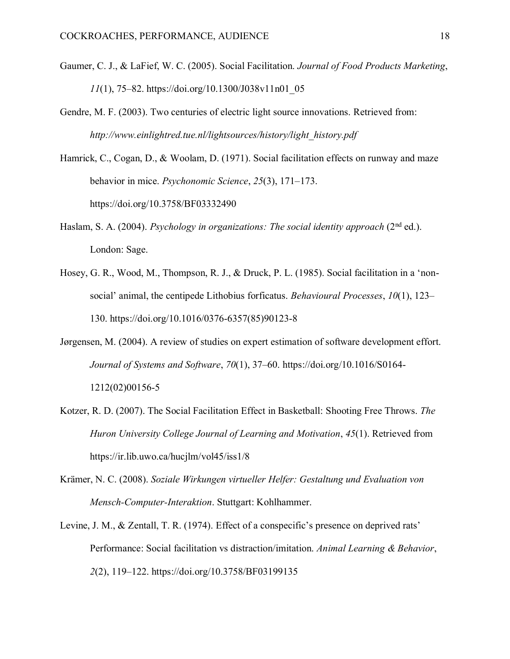- Gaumer, C. J., & LaFief, W. C. (2005). Social Facilitation. *Journal of Food Products Marketing*, *11*(1), 75–82. https://doi.org/10.1300/J038v11n01\_05
- Gendre, M. F. (2003). Two centuries of electric light source innovations. Retrieved from: *http://www.einlightred.tue.nl/lightsources/history/light\_history.pdf*
- Hamrick, C., Cogan, D., & Woolam, D. (1971). Social facilitation effects on runway and maze behavior in mice. *Psychonomic Science*, *25*(3), 171–173. https://doi.org/10.3758/BF03332490
- Haslam, S. A. (2004). *Psychology in organizations: The social identity approach* (2<sup>nd</sup> ed.). London: Sage.
- Hosey, G. R., Wood, M., Thompson, R. J., & Druck, P. L. (1985). Social facilitation in a 'nonsocial' animal, the centipede Lithobius forficatus. *Behavioural Processes*, *10*(1), 123– 130. https://doi.org/10.1016/0376-6357(85)90123-8
- Jørgensen, M. (2004). A review of studies on expert estimation of software development effort. *Journal of Systems and Software*, *70*(1), 37–60. https://doi.org/10.1016/S0164- 1212(02)00156-5
- Kotzer, R. D. (2007). The Social Facilitation Effect in Basketball: Shooting Free Throws. *The Huron University College Journal of Learning and Motivation*, *45*(1). Retrieved from https://ir.lib.uwo.ca/hucjlm/vol45/iss1/8
- Krämer, N. C. (2008). *Soziale Wirkungen virtueller Helfer: Gestaltung und Evaluation von Mensch-Computer-Interaktion*. Stuttgart: Kohlhammer.
- Levine, J. M., & Zentall, T. R. (1974). Effect of a conspecific's presence on deprived rats' Performance: Social facilitation vs distraction/imitation. *Animal Learning & Behavior*, *2*(2), 119–122. https://doi.org/10.3758/BF03199135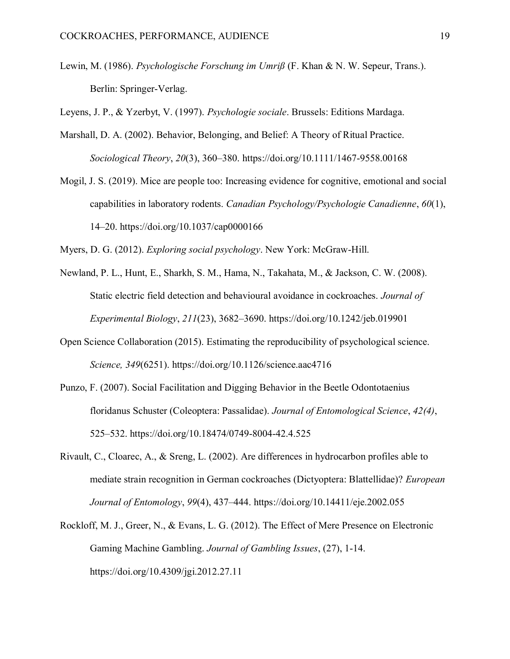Lewin, M. (1986). *Psychologische Forschung im Umriß* (F. Khan & N. W. Sepeur, Trans.). Berlin: Springer-Verlag.

Leyens, J. P., & Yzerbyt, V. (1997). *Psychologie sociale*. Brussels: Editions Mardaga.

- Marshall, D. A. (2002). Behavior, Belonging, and Belief: A Theory of Ritual Practice. *Sociological Theory*, *20*(3), 360–380. https://doi.org/10.1111/1467-9558.00168
- Mogil, J. S. (2019). Mice are people too: Increasing evidence for cognitive, emotional and social capabilities in laboratory rodents. *Canadian Psychology/Psychologie Canadienne*, *60*(1), 14–20. https://doi.org/10.1037/cap0000166

Myers, D. G. (2012). *Exploring social psychology*. New York: McGraw-Hill.

- Newland, P. L., Hunt, E., Sharkh, S. M., Hama, N., Takahata, M., & Jackson, C. W. (2008). Static electric field detection and behavioural avoidance in cockroaches. *Journal of Experimental Biology*, *211*(23), 3682–3690. https://doi.org/10.1242/jeb.019901
- Open Science Collaboration (2015). Estimating the reproducibility of psychological science. *Science, 349*(6251). https://doi.org/10.1126/science.aac4716
- Punzo, F. (2007). Social Facilitation and Digging Behavior in the Beetle Odontotaenius floridanus Schuster (Coleoptera: Passalidae). *Journal of Entomological Science*, *42(4)*, 525–532. https://doi.org/10.18474/0749-8004-42.4.525
- Rivault, C., Cloarec, A., & Sreng, L. (2002). Are differences in hydrocarbon profiles able to mediate strain recognition in German cockroaches (Dictyoptera: Blattellidae)? *European Journal of Entomology*, *99*(4), 437–444. https://doi.org/10.14411/eje.2002.055
- Rockloff, M. J., Greer, N., & Evans, L. G. (2012). The Effect of Mere Presence on Electronic Gaming Machine Gambling. *Journal of Gambling Issues*, (27), 1-14. https://doi.org/10.4309/jgi.2012.27.11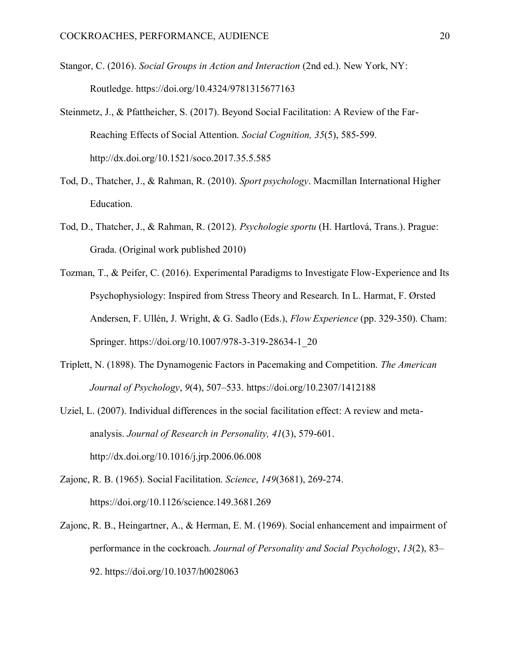- Stangor, C. (2016). *Social Groups in Action and Interaction* (2nd ed.). New York, NY: Routledge. https://doi.org/10.4324/9781315677163
- Steinmetz, J., & Pfattheicher, S. (2017). Beyond Social Facilitation: A Review of the Far-Reaching Effects of Social Attention. *Social Cognition, 35*(5), 585-599. http://dx.doi.org/10.1521/soco.2017.35.5.585
- Tod, D., Thatcher, J., & Rahman, R. (2010). *Sport psychology*. Macmillan International Higher Education.
- Tod, D., Thatcher, J., & Rahman, R. (2012). *Psychologie sportu* (H. Hartlová, Trans.). Prague: Grada. (Original work published 2010)
- Tozman, T., & Peifer, C. (2016). Experimental Paradigms to Investigate Flow-Experience and Its Psychophysiology: Inspired from Stress Theory and Research. In L. Harmat, F. Ørsted Andersen, F. Ullén, J. Wright, & G. Sadlo (Eds.), *Flow Experience* (pp. 329-350). Cham: Springer. https://doi.org/10.1007/978-3-319-28634-1\_20
- Triplett, N. (1898). The Dynamogenic Factors in Pacemaking and Competition. *The American Journal of Psychology*, *9*(4), 507–533. https://doi.org/10.2307/1412188
- Uziel, L. (2007). Individual differences in the social facilitation effect: A review and metaanalysis. *Journal of Research in Personality, 41*(3), 579-601. http://dx.doi.org/10.1016/j.jrp.2006.06.008
- Zajonc, R. B. (1965). Social Facilitation. *Science*, *149*(3681), 269-274. https://doi.org/10.1126/science.149.3681.269
- Zajonc, R. B., Heingartner, A., & Herman, E. M. (1969). Social enhancement and impairment of performance in the cockroach. *Journal of Personality and Social Psychology*, *13*(2), 83– 92. https://doi.org/10.1037/h0028063